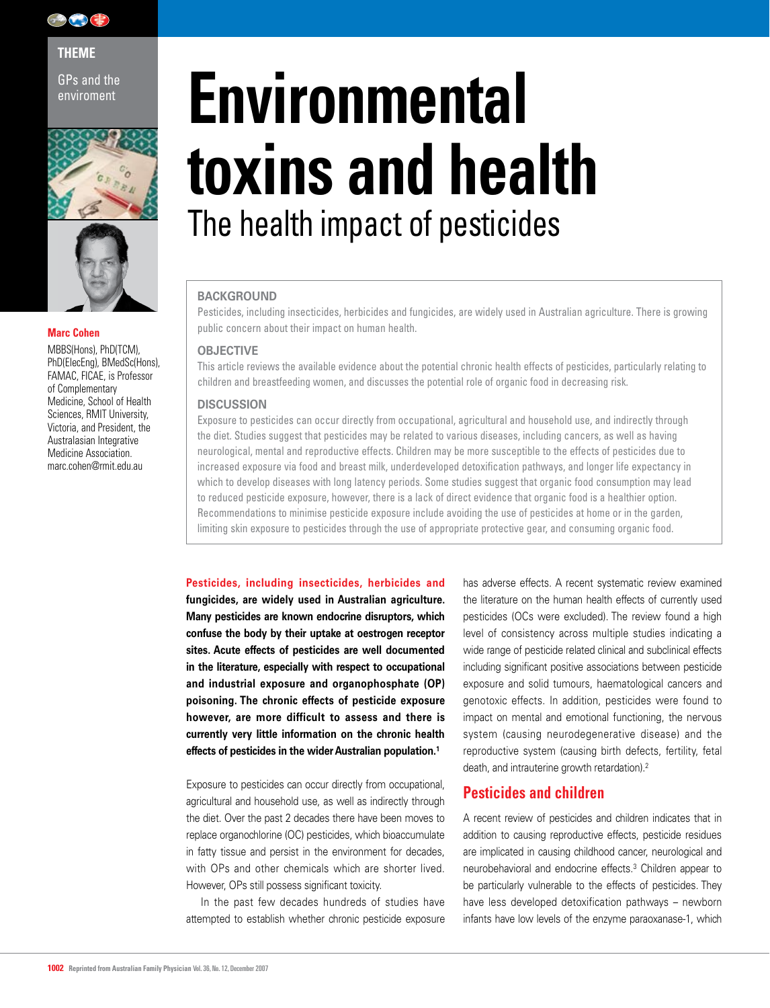

**THEME** 

GPs and the





### **Marc Cohen**

MBBS(Hons), PhD(TCM), PhD(ElecEng), BMedSc(Hons), FAMAC, FICAE, is Professor of Complementary Medicine, School of Health Sciences, RMIT University, Victoria, and President, the Australasian Integrative Medicine Association. marc.cohen@rmit.edu.au

# **Environment Environmental toxins and health** The health impact of pesticides

#### **BACKGROUND**

Pesticides, including insecticides, herbicides and fungicides, are widely used in Australian agriculture. There is growing public concern about their impact on human health.

#### **OBJECTIVE**

This article reviews the available evidence about the potential chronic health effects of pesticides, particularly relating to children and breastfeeding women, and discusses the potential role of organic food in decreasing risk.

#### **DISCUSSION**

Exposure to pesticides can occur directly from occupational, agricultural and household use, and indirectly through the diet. Studies suggest that pesticides may be related to various diseases, including cancers, as well as having neurological, mental and reproductive effects. Children may be more susceptible to the effects of pesticides due to increased exposure via food and breast milk, underdeveloped detoxification pathways, and longer life expectancy in which to develop diseases with long latency periods. Some studies suggest that organic food consumption may lead to reduced pesticide exposure, however, there is a lack of direct evidence that organic food is a healthier option. Recommendations to minimise pesticide exposure include avoiding the use of pesticides at home or in the garden, limiting skin exposure to pesticides through the use of appropriate protective gear, and consuming organic food.

**Pesticides, including insecticides, herbicides and fungicides, are widely used in Australian agriculture. Many pesticides are known endocrine disruptors, which confuse the body by their uptake at oestrogen receptor sites. Acute effects of pesticides are well documented in the literature, especially with respect to occupational and industrial exposure and organophosphate (OP) poisoning. The chronic effects of pesticide exposure however, are more difficult to assess and there is currently very little information on the chronic health effects of pesticides in the wider Australian population.1**

Exposure to pesticides can occur directly from occupational, agricultural and household use, as well as indirectly through the diet. Over the past 2 decades there have been moves to replace organochlorine (OC) pesticides, which bioaccumulate in fatty tissue and persist in the environment for decades, with OPs and other chemicals which are shorter lived. However, OPs still possess significant toxicity.

In the past few decades hundreds of studies have attempted to establish whether chronic pesticide exposure has adverse effects. A recent systematic review examined the literature on the human health effects of currently used pesticides (OCs were excluded). The review found a high level of consistency across multiple studies indicating a wide range of pesticide related clinical and subclinical effects including significant positive associations between pesticide exposure and solid tumours, haematological cancers and genotoxic effects. In addition, pesticides were found to impact on mental and emotional functioning, the nervous system (causing neurodegenerative disease) and the reproductive system (causing birth defects, fertility, fetal death, and intrauterine growth retardation).<sup>2</sup>

## **Pesticides and children**

A recent review of pesticides and children indicates that in addition to causing reproductive effects, pesticide residues are implicated in causing childhood cancer, neurological and neurobehavioral and endocrine effects.3 Children appear to be particularly vulnerable to the effects of pesticides. They have less developed detoxification pathways – newborn infants have low levels of the enzyme paraoxanase-1, which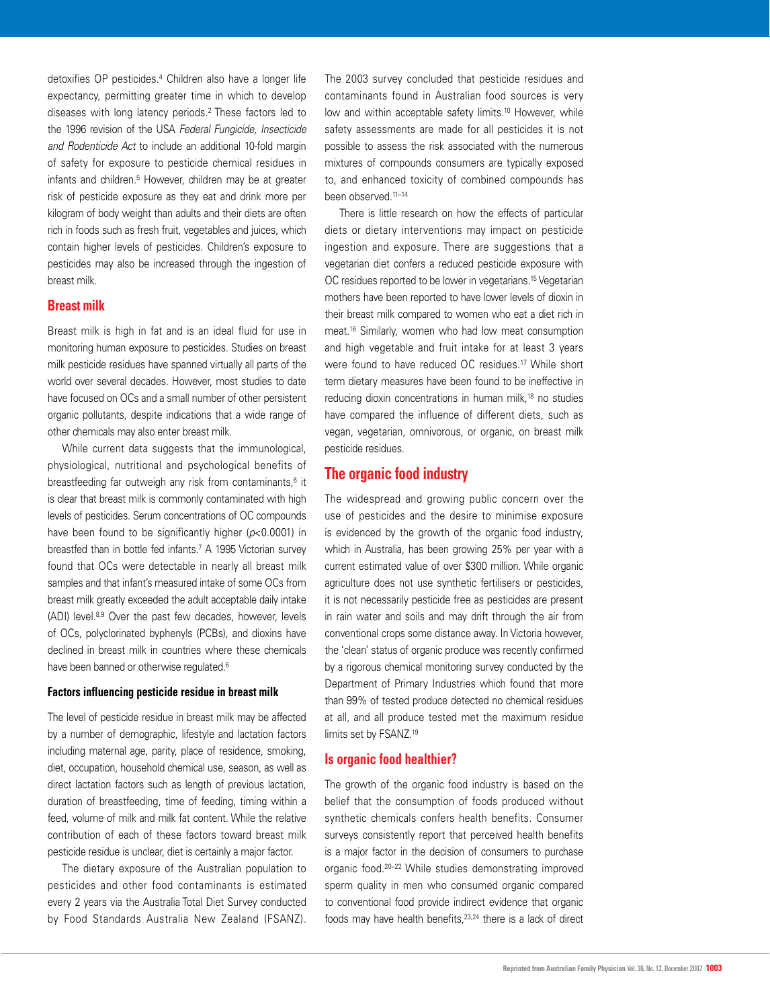detoxifies OP pesticides.4 Children also have a longer life expectancy, permitting greater time in which to develop diseases with long latency periods.2 These factors led to the 1996 revision of the USA *Federal Fungicide, Insecticide and Rodenticide Act* to include an additional 10-fold margin of safety for exposure to pesticide chemical residues in infants and children.<sup>5</sup> However, children may be at greater risk of pesticide exposure as they eat and drink more per kilogram of body weight than adults and their diets are often rich in foods such as fresh fruit, vegetables and juices, which contain higher levels of pesticides. Children's exposure to pesticides may also be increased through the ingestion of breast milk.

#### **Breast milk**

Breast milk is high in fat and is an ideal fluid for use in monitoring human exposure to pesticides. Studies on breast milk pesticide residues have spanned virtually all parts of the world over several decades. However, most studies to date have focused on OCs and a small number of other persistent organic pollutants, despite indications that a wide range of other chemicals may also enter breast milk.

While current data suggests that the immunological, physiological, nutritional and psychological benefits of breastfeeding far outweigh any risk from contaminants,<sup>6</sup> it is clear that breast milk is commonly contaminated with high levels of pesticides. Serum concentrations of OC compounds have been found to be significantly higher (*p*<0.0001) in breastfed than in bottle fed infants.7 A 1995 Victorian survey found that OCs were detectable in nearly all breast milk samples and that infant's measured intake of some OCs from breast milk greatly exceeded the adult acceptable daily intake (ADI) level.8,9 Over the past few decades, however, levels of OCs, polyclorinated byphenyls (PCBs), and dioxins have declined in breast milk in countries where these chemicals have been banned or otherwise regulated.<sup>6</sup>

#### **Factors influencing pesticide residue in breast milk**

The level of pesticide residue in breast milk may be affected by a number of demographic, lifestyle and lactation factors including maternal age, parity, place of residence, smoking, diet, occupation, household chemical use, season, as well as direct lactation factors such as length of previous lactation, duration of breastfeeding, time of feeding, timing within a feed, volume of milk and milk fat content. While the relative contribution of each of these factors toward breast milk pesticide residue is unclear, diet is certainly a major factor.

The dietary exposure of the Australian population to pesticides and other food contaminants is estimated every 2 years via the Australia Total Diet Survey conducted by Food Standards Australia New Zealand (FSANZ). The 2003 survey concluded that pesticide residues and contaminants found in Australian food sources is very low and within acceptable safety limits.<sup>10</sup> However, while safety assessments are made for all pesticides it is not possible to assess the risk associated with the numerous mixtures of compounds consumers are typically exposed to, and enhanced toxicity of combined compounds has been observed.11–14

There is little research on how the effects of particular diets or dietary interventions may impact on pesticide ingestion and exposure. There are suggestions that a vegetarian diet confers a reduced pesticide exposure with OC residues reported to be lower in vegetarians.15 Vegetarian mothers have been reported to have lower levels of dioxin in their breast milk compared to women who eat a diet rich in meat.16 Similarly, women who had low meat consumption and high vegetable and fruit intake for at least 3 years were found to have reduced OC residues.17 While short term dietary measures have been found to be ineffective in reducing dioxin concentrations in human milk,18 no studies have compared the influence of different diets, such as vegan, vegetarian, omnivorous, or organic, on breast milk pesticide residues.

# **The organic food industry**

The widespread and growing public concern over the use of pesticides and the desire to minimise exposure is evidenced by the growth of the organic food industry, which in Australia, has been growing 25% per year with a current estimated value of over \$300 million. While organic agriculture does not use synthetic fertilisers or pesticides, it is not necessarily pesticide free as pesticides are present in rain water and soils and may drift through the air from conventional crops some distance away. In Victoria however, the 'clean' status of organic produce was recently confirmed by a rigorous chemical monitoring survey conducted by the Department of Primary Industries which found that more than 99% of tested produce detected no chemical residues at all, and all produce tested met the maximum residue limits set by FSANZ.19

#### **Is organic food healthier?**

The growth of the organic food industry is based on the belief that the consumption of foods produced without synthetic chemicals confers health benefits. Consumer surveys consistently report that perceived health benefits is a major factor in the decision of consumers to purchase organic food.20–22 While studies demonstrating improved sperm quality in men who consumed organic compared to conventional food provide indirect evidence that organic foods may have health benefits,<sup>23,24</sup> there is a lack of direct